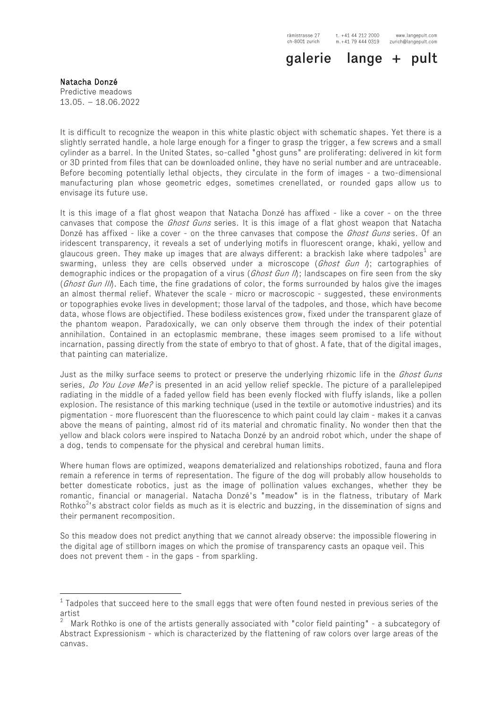www.langepult.com zurich@langepult.com

galerie lange + pult

Natacha Donzé Predictive meadows 13.05. – 18.06.2022

It is difficult to recognize the weapon in this white plastic object with schematic shapes. Yet there is a slightly serrated handle, a hole large enough for a finger to grasp the trigger, a few screws and a small cylinder as a barrel. In the United States, so-called "ghost guns" are proliferating: delivered in kit form or 3D printed from files that can be downloaded online, they have no serial number and are untraceable. Before becoming potentially lethal objects, they circulate in the form of images - a two-dimensional manufacturing plan whose geometric edges, sometimes crenellated, or rounded gaps allow us to envisage its future use.

It is this image of a flat ghost weapon that Natacha Donzé has affixed - like a cover - on the three canvases that compose the *Ghost Guns* series. It is this image of a flat ghost weapon that Natacha Donzé has affixed - like a cover - on the three canvases that compose the *Ghost Guns* series. Of an iridescent transparency, it reveals a set of underlying motifs in fluorescent orange, khaki, yellow and glaucous green. They make up images that are always different: a brackish lake where tadpoles<sup>1</sup> are swarming, unless they are cells observed under a microscope ( $Ghost$  Gun  $\Lambda$ ; cartographies of demographic indices or the propagation of a virus (*Ghost Gun II*); landscapes on fire seen from the sky (Ghost Gun III). Each time, the fine gradations of color, the forms surrounded by halos give the images an almost thermal relief. Whatever the scale - micro or macroscopic - suggested, these environments or topographies evoke lives in development; those larval of the tadpoles, and those, which have become data, whose flows are objectified. These bodiless existences grow, fixed under the transparent glaze of the phantom weapon. Paradoxically, we can only observe them through the index of their potential annihilation. Contained in an ectoplasmic membrane, these images seem promised to a life without incarnation, passing directly from the state of embryo to that of ghost. A fate, that of the digital images, that painting can materialize.

Just as the milky surface seems to protect or preserve the underlying rhizomic life in the *Ghost Guns* series, Do You Love Me? is presented in an acid yellow relief speckle. The picture of a parallelepiped radiating in the middle of a faded yellow field has been evenly flocked with fluffy islands, like a pollen explosion. The resistance of this marking technique (used in the textile or automotive industries) and its pigmentation - more fluorescent than the fluorescence to which paint could lay claim - makes it a canvas above the means of painting, almost rid of its material and chromatic finality. No wonder then that the yellow and black colors were inspired to Natacha Donzé by an android robot which, under the shape of a dog, tends to compensate for the physical and cerebral human limits.

Where human flows are optimized, weapons dematerialized and relationships robotized, fauna and flora remain a reference in terms of representation. The figure of the dog will probably allow households to better domesticate robotics, just as the image of pollination values exchanges, whether they be romantic, financial or managerial. Natacha Donzé's "meadow" is in the flatness, tributary of Mark Rothko<sup>2</sup>'s abstract color fields as much as it is electric and buzzing, in the dissemination of signs and their permanent recomposition.

So this meadow does not predict anything that we cannot already observe: the impossible flowering in the digital age of stillborn images on which the promise of transparency casts an opaque veil. This does not prevent them - in the gaps - from sparkling.

 $1$  Tadpoles that succeed here to the small eggs that were often found nested in previous series of the artist

<sup>2</sup> Mark Rothko is one of the artists generally associated with "color field painting" - a subcategory of Abstract Expressionism - which is characterized by the flattening of raw colors over large areas of the canvas.